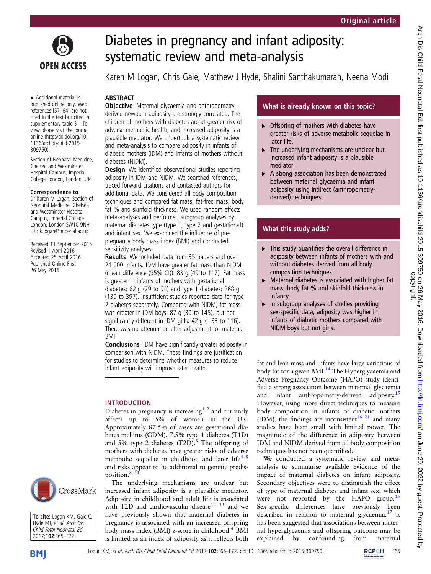

▸ Additional material is published online only. Web references [57–64] are not cited in the text but cited in supplementary table S1. To view please visit the journal online ([http://dx.doi.org/10.](http://dx.doi.org/10.1136/archdischild-2015-309750) [1136/archdischild-2015-](http://dx.doi.org/10.1136/archdischild-2015-309750)

Section of Neonatal Medicine, Chelsea and Westminster Hospital Campus, Imperial College London, London, UK Correspondence to Dr Karen M Logan, Section of Neonatal Medicine, Chelsea and Westminster Hospital Campus, Imperial College London, London SW10 9NH. UK; k.logan@imperial.ac.uk Received 11 September 2015 Revised 1 April 2016 Accepted 25 April 2016 Published Online First 26 May 2016

[309750](http://dx.doi.org/10.1136/archdischild-2015-309750)).

# Diabetes in pregnancy and infant adiposity: systematic review and meta-analysis

Karen M Logan, Chris Gale, Matthew J Hyde, Shalini Santhakumaran, Neena Modi

## ABSTRACT

Objective Maternal glycaemia and anthropometryderived newborn adiposity are strongly correlated. The children of mothers with diabetes are at greater risk of adverse metabolic health, and increased adiposity is a plausible mediator. We undertook a systematic review and meta-analysis to compare adiposity in infants of diabetic mothers (IDM) and infants of mothers without diabetes (NIDM).

**Design** We identified observational studies reporting adiposity in IDM and NIDM. We searched references, traced forward citations and contacted authors for additional data. We considered all body composition techniques and compared fat mass, fat-free mass, body fat % and skinfold thickness. We used random effects meta-analyses and performed subgroup analyses by maternal diabetes type (type 1, type 2 and gestational) and infant sex. We examined the influence of prepregnancy body mass index (BMI) and conducted sensitivity analyses.

Results We included data from 35 papers and over 24 000 infants. IDM have greater fat mass than NIDM (mean difference (95% CI)): 83 g (49 to 117). Fat mass is greater in infants of mothers with gestational diabetes: 62 g (29 to 94) and type 1 diabetes: 268 g (139 to 397). Insufficient studies reported data for type 2 diabetes separately. Compared with NIDM, fat mass was greater in IDM boys: 87 g (30 to 145), but not significantly different in IDM girls: 42 g (-33 to 116). There was no attenuation after adjustment for maternal BMI.

Conclusions IDM have significantly greater adiposity in comparison with NIDM. These findings are justification for studies to determine whether measures to reduce infant adiposity will improve later health.

## INTRODUCTION

Diabetes in pregnancy is increasing $1<sup>2</sup>$  and currently affects up to 5% of women in the UK. Approximately 87.5% of cases are gestational diabetes mellitus (GDM), 7.5% type 1 diabetes (T1D) and 5% type 2 diabetes (T2D).<sup>[3](#page-6-0)</sup> The offspring of mothers with diabetes have greater risks of adverse metabolic sequelae in childhood and later life $4-8$  $4-8$ and risks appear to be additional to genetic predisposition.<sup>8</sup>

The underlying mechanisms are unclear but increased infant adiposity is a plausible mediator. Adiposity in childhood and adult life is associated with T2D and cardiovascular disease $^{12}$   $^{13}$  and we have previously shown that maternal diabetes in pregnancy is associated with an increased offspring body mass index (BMI) z-score in childhood.<sup>[4](#page-6-0)</sup> BMI is limited as an index of adiposity as it reflects both

# What is already known on this topic?

- ▶ Offspring of mothers with diabetes have greater risks of adverse metabolic sequelae in later life.
- $\blacktriangleright$  The underlying mechanisms are unclear but increased infant adiposity is a plausible mediator.
- ▶ A strong association has been demonstrated between maternal glycaemia and infant adiposity using indirect (anthropometryderived) techniques.

# What this study adds?

- $\blacktriangleright$  This study quantifies the overall difference in adiposity between infants of mothers with and without diabetes derived from all body composition techniques.
- $\triangleright$  Maternal diabetes is associated with higher fat mass, body fat % and skinfold thickness in infancy.
- $\blacktriangleright$  In subgroup analyses of studies providing sex-specific data, adiposity was higher in infants of diabetic mothers compared with NIDM boys but not girls.

fat and lean mass and infants have large variations of body fat for a given BMI.<sup>14</sup> The Hyperglycaemia and Adverse Pregnancy Outcome (HAPO) study identified a strong association between maternal glycaemia and infant anthropometry-derived adiposity.<sup>[15](#page-6-0)</sup> However, using more direct techniques to measure body composition in infants of diabetic mothers (IDM), the findings are inconsistent<sup>16–21</sup> and many studies have been small with limited power. The magnitude of the difference in adiposity between IDM and NIDM derived from all body composition techniques has not been quantified.

We conducted a systematic review and metaanalysis to summarise available evidence of the impact of maternal diabetes on infant adiposity. Secondary objectives were to distinguish the effect of type of maternal diabetes and infant sex, which were not reported by the HAPO group.<sup>[15](#page-6-0)</sup> Sex-specific differences have previously been described in relation to maternal glycaemia.<sup>[17](#page-6-0)</sup> It has been suggested that associations between maternal hyperglycaemia and offspring outcome may be explained by confounding from maternal



To cite: Logan KM, Gale C, Hyde MJ, et al. Arch Dis Child Fetal Neonatal Ed 2017;102:F65–F72.

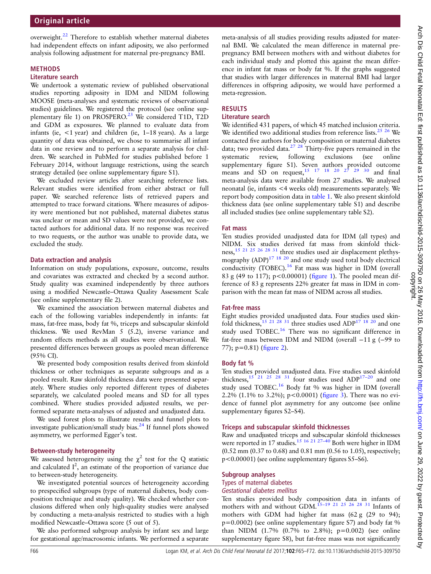overweight.<sup>[22](#page-7-0)</sup> Therefore to establish whether maternal diabetes had independent effects on infant adiposity, we also performed analysis following adjustment for maternal pre-pregnancy BMI.

## **METHODS**

## Literature search

We undertook a systematic review of published observational studies reporting adiposity in IDM and NIDM following MOOSE (meta-analyses and systematic reviews of observational studies) guidelines. We registered the protocol (see online sup-plementary file 1) on PROSPERO.<sup>[23](#page-7-0)</sup> We considered T1D, T2D and GDM as exposures. We planned to evaluate data from infants (ie,  $\leq 1$  year) and children (ie,  $1-18$  years). As a large quantity of data was obtained, we chose to summarise all infant data in one review and to perform a separate analysis for children. We searched in PubMed for studies published before 1 February 2014, without language restrictions, using the search strategy detailed (see online [supplementary](http://dx.doi.org/10.1136/archdischild-2015-309750) figure S1).

We excluded review articles after searching reference lists. Relevant studies were identified from either abstract or full paper. We searched reference lists of retrieved papers and attempted to trace forward citations. Where measures of adiposity were mentioned but not published, maternal diabetes status was unclear or mean and SD values were not provided, we contacted authors for additional data. If no response was received to two requests, or the author was unable to provide data, we excluded the study.

## Data extraction and analysis

Information on study populations, exposure, outcome, results and covariates was extracted and checked by a second author. Study quality was examined independently by three authors using a modified Newcastle–Ottawa Quality Assessment Scale (see online supplementary file 2).

We examined the association between maternal diabetes and each of the following variables independently in infants: fat mass, fat-free mass, body fat %, triceps and subscapular skinfold thickness. We used RevMan 5 (5.2), inverse variance and random effects methods as all studies were observational. We presented differences between groups as pooled mean difference (95% CI).

We presented body composition results derived from skinfold thickness or other techniques as separate subgroups and as a pooled result. Raw skinfold thickness data were presented separately. Where studies only reported different types of diabetes separately, we calculated pooled means and SD for all types combined. Where studies provided adjusted results, we performed separate meta-analyses of adjusted and unadjusted data.

We used forest plots to illustrate results and funnel plots to investigate publication/small study bias.[24](#page-7-0) If funnel plots showed asymmetry, we performed Egger's test.

## Between-study heterogeneity

We assessed heterogeneity using the  $\chi^2$  test for the Q statistic and calculated  $I^2$ , an estimate of the proportion of variance due to between-study heterogeneity.

We investigated potential sources of heterogeneity according to prespecified subgroups (type of maternal diabetes, body composition technique and study quality). We checked whether conclusions differed when only high-quality studies were analysed by conducting a meta-analysis restricted to studies with a high modified Newcastle–Ottawa score (5 out of 5).

We also performed subgroup analysis by infant sex and large for gestational age/macrosomic infants. We performed a separate

meta-analysis of all studies providing results adjusted for maternal BMI. We calculated the mean difference in maternal prepregnancy BMI between mothers with and without diabetes for each individual study and plotted this against the mean difference in infant fat mass or body fat %. If the graphs suggested that studies with larger differences in maternal BMI had larger differences in offspring adiposity, we would have performed a meta-regression.

## RESULTS

## Literature search

We identified 431 papers, of which 45 matched inclusion criteria. We identified two additional studies from reference lists. $25 \frac{25}{26}$  We contacted five authors for body composition or maternal diabetes data; two provided data.<sup>27</sup> <sup>28</sup> Thirty-five papers remained in the systematic review, following exclusions (see online [supplementary](http://dx.doi.org/10.1136/archdischild-2015-309750) figure S1). Seven authors provided outcome means and SD on request,  $15 \frac{17}{18}$   $17 \frac{18}{20}$   $27 \frac{29}{29}$  30 and final meta-analysis data were available from 27 studies. We analysed neonatal (ie, infants <4 weeks old) measurements separately. We report body composition data in [table 1.](#page-2-0) We also present skinfold thickness data (see online [supplementary table](http://dx.doi.org/10.1136/archdischild-2015-309750) S1) and describe all included studies (see online [supplementary table](http://dx.doi.org/10.1136/archdischild-2015-309750) S2).

## Fat mass

Ten studies provided unadjusted data for IDM (all types) and NIDM. Six studies derived fat mass from skinfold thickness,[15](#page-6-0) [21 25 26 28 31](#page-7-0) three studies used air displacement plethysmography  $(ADP)^{17}$  $(ADP)^{17}$  $(ADP)^{17}$  [18 20](#page-7-0) and one study used total body electrical conductivity (TOBEC).<sup>[16](#page-6-0)</sup> Fat mass was higher in IDM (overall 83 g (49 to 117); p<0.00001) (fi[gure 1](#page-4-0)). The pooled mean difference of 83 g represents 22% greater fat mass in IDM in comparison with the mean fat mass of NIDM across all studies.

## Fat-free mass

Eight studies provided unadjusted data. Four studies used skinfold thickness,  $15$  [21 28 31](#page-7-0) three studies used ADP<sup>[17](#page-6-0) [18 20](#page-7-0)</sup> and one study used TOBEC.<sup>[16](#page-6-0)</sup> There was no significant difference in fat-free mass between IDM and NIDM (overall −11 g (−99 to 77);  $p=0.81$ ) (fi[gure 2](#page-4-0)).

## Body fat %

Ten studies provided unadjusted data. Five studies used skinfold thickness,<sup>[15](#page-6-0) [21 25 28 31](#page-7-0)</sup> four studies used ADP<sup>17-20</sup> and one study used TOBEC.<sup>[16](#page-6-0)</sup> Body fat % was higher in IDM (overall 2.2% (1.1% to 3.2%); p<0.0001) (fi[gure 3\)](#page-5-0). There was no evidence of funnel plot asymmetry for any outcome (see online [supplementary](http://dx.doi.org/10.1136/archdischild-2015-309750) figures S2–S4).

## Triceps and subscapular skinfold thicknesses

Raw and unadjusted triceps and subscapular skinfold thicknesses were reported in 17 studies.<sup>15 16 [21 27](#page-7-0)–40</sup> Both were higher in IDM (0.52 mm (0.37 to 0.68) and 0.81 mm (0.56 to 1.05), respectively; p<0.00001) (see online [supplementary](http://dx.doi.org/10.1136/archdischild-2015-309750) figures S5–S6).

## Subgroup analyses

## Types of maternal diabetes

## Gestational diabetes mellitus

Ten studies provided body composition data in infants of mothers with and without GDM.<sup>[15](#page-6-0)–19</sup> <sup>21</sup> <sup>25</sup> <sup>26</sup> <sup>28</sup> <sup>31</sup> Infants of mothers with GDM had higher fat mass (62 g (29 to 94);  $p=0.0002$ ) (see online [supplementary](http://dx.doi.org/10.1136/archdischild-2015-309750) figure S7) and body fat % than NIDM (1.7% (0.7% to 2.8%);  $p=0.002$ ) (see online [supplementary](http://dx.doi.org/10.1136/archdischild-2015-309750) figure S8), but fat-free mass was not significantly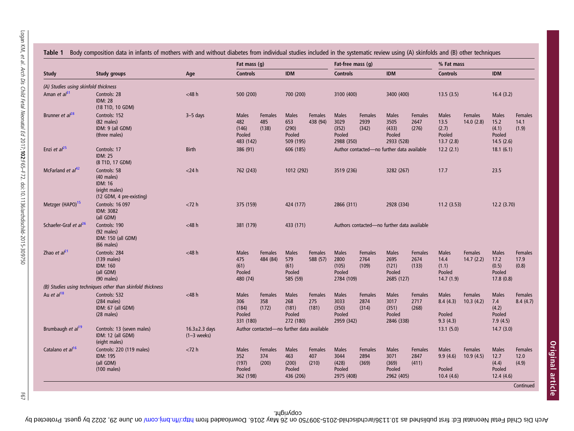|                                      |                                                                                             |                                      | Fat mass $(q)$                                      |                         |                                                     |                         | Fat-free mass (g)                                     |                                             |                                                       |                          | % Fat mass                                           |                      |                                                      |                          |
|--------------------------------------|---------------------------------------------------------------------------------------------|--------------------------------------|-----------------------------------------------------|-------------------------|-----------------------------------------------------|-------------------------|-------------------------------------------------------|---------------------------------------------|-------------------------------------------------------|--------------------------|------------------------------------------------------|----------------------|------------------------------------------------------|--------------------------|
| <b>Study</b>                         | <b>Study groups</b>                                                                         | Age                                  | <b>Controls</b>                                     |                         | <b>IDM</b>                                          |                         | <b>Controls</b>                                       |                                             | <b>IDM</b>                                            |                          | <b>Controls</b>                                      |                      | <b>IDM</b>                                           |                          |
| (A) Studies using skinfold thickness |                                                                                             |                                      |                                                     |                         |                                                     |                         |                                                       |                                             |                                                       |                          |                                                      |                      |                                                      |                          |
| Aman et $a^{31}$                     | Controls: 28<br><b>IDM: 28</b><br>(18 T1D, 10 GDM)                                          | $<$ 48 $h$                           | 500 (200)                                           |                         | 700 (200)                                           |                         | 3100 (400)                                            |                                             | 3400 (400)                                            |                          | 13.5(3.5)                                            |                      | 16.4(3.2)                                            |                          |
| Brunner et al <sup>28</sup>          | Controls: 152<br>$(82$ males)<br>IDM: 9 (all GDM)<br>(three males)                          | $3-5$ days                           | <b>Males</b><br>482<br>(146)<br>Pooled<br>483 (142) | Females<br>485<br>(138) | <b>Males</b><br>653<br>(290)<br>Pooled<br>509 (195) | Females<br>438 (94)     | <b>Males</b><br>3029<br>(352)<br>Pooled<br>2988 (350) | Females<br>2939<br>(342)                    | <b>Males</b><br>3505<br>(433)<br>Pooled<br>2933 (528) | Females<br>2647<br>(276) | <b>Males</b><br>13.5<br>(2.7)<br>Pooled<br>13.7(2.8) | Females<br>14.0(2.8) | <b>Males</b><br>15.2<br>(4.1)<br>Pooled<br>14.5(2.6) | Females<br>14.1<br>(1.9) |
| Enzi et al <sup>25</sup>             | Controls: 17<br><b>IDM: 25</b><br>(8 T1D, 17 GDM)                                           | <b>Birth</b>                         | 386 (91)                                            |                         | 606 (185)                                           |                         |                                                       | Author contacted-no further data available  |                                                       |                          | 12.2(2.1)                                            |                      | 18.1(6.1)                                            |                          |
| McFarland et al <sup>42</sup>        | Controls: 58<br>$(40$ males)<br><b>IDM: 16</b><br>(eight males)<br>(12 GDM, 4 pre-existing) | $<$ 24 $h$                           | 762 (243)                                           |                         | 1012 (292)                                          |                         | 3519 (236)                                            |                                             | 3282 (267)                                            |                          | 17.7                                                 |                      | 23.5                                                 |                          |
| Metzger (HAPO) <sup>15</sup>         | <b>Controls: 16 097</b><br><b>IDM: 3082</b><br>(all GDM)                                    | $<$ 72 h                             | 375 (159)                                           |                         | 424 (177)                                           |                         | 2866 (311)                                            |                                             | 2928 (334)                                            |                          | 11.2(3.53)                                           |                      | 12.2(3.70)                                           |                          |
| Schaefer-Graf et al <sup>26</sup>    | Controls: 190<br>$(92$ males)<br>IDM: 150 (all GDM)<br>$(66$ males)                         | $<$ 48 h                             | 381 (179)                                           |                         | 433 (171)                                           |                         |                                                       | Authors contacted-no further data available |                                                       |                          |                                                      |                      |                                                      |                          |
| Zhao et $al^{21}$                    | Controls: 284<br>$(139$ males)<br><b>IDM: 160</b><br>(all GDM)<br>$(90$ males)              | $<$ 48 h                             | <b>Males</b><br>475<br>(61)<br>Pooled<br>480 (74)   | Females<br>484 (84)     | <b>Males</b><br>579<br>(61)<br>Pooled<br>585 (59)   | Females<br>588 (57)     | <b>Males</b><br>2800<br>(105)<br>Pooled<br>2784 (109) | Females<br>2764<br>(109)                    | <b>Males</b><br>2695<br>(121)<br>Pooled<br>2685 (127) | Females<br>2674<br>(133) | <b>Males</b><br>14.4<br>(1.1)<br>Pooled<br>14.7(1.9) | Females<br>14.7(2.2) | <b>Males</b><br>17.2<br>(0.5)<br>Pooled<br>17.8(0.8) | Females<br>17.9<br>(0.8) |
|                                      | (B) Studies using techniques other than skinfold thickness                                  |                                      |                                                     |                         |                                                     |                         |                                                       |                                             |                                                       |                          |                                                      |                      |                                                      |                          |
| Au et $al^{18}$                      | Controls: 532<br>$(284$ males)<br>IDM: 67 (all GDM)<br>$(28 \text{ males})$                 | $<$ 48 h                             | <b>Males</b><br>306<br>(184)<br>Pooled<br>331 (180) | Females<br>358<br>(172) | <b>Males</b><br>268<br>(181)<br>Pooled<br>272 (180) | Females<br>275<br>(181) | <b>Males</b><br>3033<br>(350)<br>Pooled<br>2959 (342) | Females<br>2874<br>(314)                    | <b>Males</b><br>3017<br>(351)<br>Pooled<br>2846 (338) | Females<br>2717<br>(268) | <b>Males</b><br>8.4(4.3)<br>Pooled<br>9.3(4.3)       | Females<br>10.3(4.2) | <b>Males</b><br>7.4<br>(4.2)<br>Pooled<br>7.9(4.5)   | Females<br>8.4(4.7)      |
| Brumbaugh et al <sup>19</sup>        | Controls: 13 (seven males)<br>IDM: 12 (all GDM)<br>(eight males)                            | $16.3 \pm 2.3$ days<br>$(1-3$ weeks) |                                                     |                         | Author contacted-no further data available          |                         |                                                       |                                             |                                                       |                          | 13.1(5.0)                                            |                      | 14.7(3.0)                                            |                          |
| Catalano et al <sup>16</sup>         | Controls: 220 (119 males)<br><b>IDM: 195</b><br>(all GDM)<br>$(100 \text{ males})$          | $<$ 72 h                             | <b>Males</b><br>352<br>(197)<br>Pooled<br>362 (198) | Females<br>374<br>(200) | <b>Males</b><br>463<br>(200)<br>Pooled<br>436 (206) | Females<br>407<br>(210) | <b>Males</b><br>3044<br>(428)<br>Pooled<br>2975 (408) | Females<br>2894<br>(369)                    | <b>Males</b><br>3071<br>(369)<br>Pooled<br>2962 (405) | Females<br>2847<br>(411) | <b>Males</b><br>9.9(4.6)<br>Pooled<br>10.4(4.6)      | Females<br>10.9(4.5) | <b>Males</b><br>12.7<br>(4.4)<br>Pooled<br>12.4(4.6) | Females<br>12.0<br>(4.9) |
|                                      |                                                                                             |                                      |                                                     |                         |                                                     |                         |                                                       |                                             |                                                       |                          |                                                      |                      |                                                      | Continued                |

<span id="page-2-0"></span>Table 1 Body composition data in infants of mothers with and without diabetes from individual studies included in the systematic review using (A) skinfolds and (B) other techniques

 $E67$ 

copyright.

on Dis Child Hetal Meonatal Ed: Horlighed as 10.119. Protected Dis Child-Setal Arch Downloaded trom but India Dis Child Arch Protected Dis 2013 by guest. Populsion Archeolarchdischild-2015-8097 District Protected by Surfac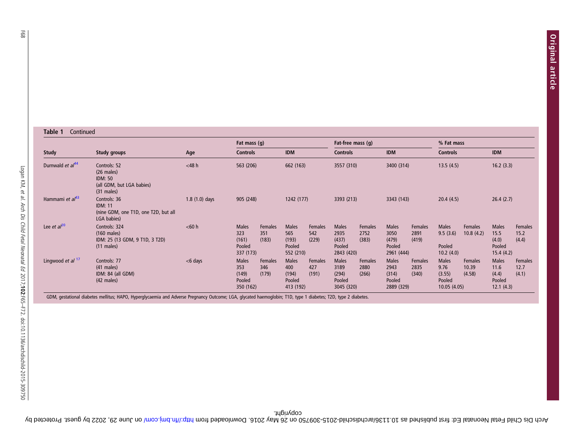#### Table 1 Continued

|                              |                                                                                                     |                 |                                                     | Fat mass (g)                   |                                                     |                                |                                                       | Fat-free mass (g)        |                                                       |                                 |                                                         | % Fat mass                        |                                                      |                                 |  |
|------------------------------|-----------------------------------------------------------------------------------------------------|-----------------|-----------------------------------------------------|--------------------------------|-----------------------------------------------------|--------------------------------|-------------------------------------------------------|--------------------------|-------------------------------------------------------|---------------------------------|---------------------------------------------------------|-----------------------------------|------------------------------------------------------|---------------------------------|--|
| Study                        | Study groups                                                                                        | Age             | <b>Controls</b><br>563 (206)                        |                                | <b>IDM</b><br>662 (163)                             |                                | <b>Controls</b><br>3557 (310)                         |                          | <b>IDM</b><br>3400 (314)                              |                                 | <b>Controls</b><br>13.5(4.5)                            |                                   | <b>IDM</b><br>16.2(3.3)                              |                                 |  |
| Durnwald et al <sup>44</sup> | Controls: 52<br>$(26 \text{ males})$<br><b>IDM: 50</b><br>(all GDM, but LGA babies)<br>$(31$ males) | $<$ 48 $h$      |                                                     |                                |                                                     |                                |                                                       |                          |                                                       |                                 |                                                         |                                   |                                                      |                                 |  |
| Hammami et al <sup>43</sup>  | Controls: 36<br><b>IDM: 11</b><br>(nine GDM, one T1D, one T2D, but all<br>LGA babies)               | $1.8(1.0)$ days | 905 (248)                                           |                                | 1242 (177)                                          |                                | 3393 (213)                                            |                          | 3343 (143)                                            |                                 | 20.4(4.5)                                               |                                   | 26.4(2.7)                                            |                                 |  |
| Lee et al <sup>20</sup>      | Controls: 324<br>$(160 \text{ males})$<br>IDM: 25 (13 GDM, 9 T1D, 3 T2D)<br>$(11 \text{ males})$    | < 60 h          | <b>Males</b><br>323<br>(161)<br>Pooled<br>337 (173) | <b>Females</b><br>351<br>(183) | <b>Males</b><br>565<br>(193)<br>Pooled<br>552 (210) | <b>Females</b><br>542<br>(229) | <b>Males</b><br>2935<br>(437)<br>Pooled<br>2843 (420) | Females<br>2752<br>(383) | <b>Males</b><br>3050<br>(479)<br>Pooled<br>2961 (444) | Females<br>2891<br>(419)        | <b>Males</b><br>9.5(3.6)<br>Pooled<br>10.2(4.0)         | Females<br>10.8(4.2)              | <b>Males</b><br>15.5<br>(4.0)<br>Pooled<br>15.4(4.2) | Females<br>15.2<br>(4.4)        |  |
| Lingwood $et$ al $17$        | Controls: 77<br>$(41$ males)<br>IDM: 84 (all GDM)<br>$(42$ males)                                   | $<$ 6 days      | <b>Males</b><br>353<br>(149)<br>Pooled<br>350 (162) | <b>Females</b><br>346<br>(179) | <b>Males</b><br>400<br>(194)<br>Pooled<br>413 (192) | Females<br>427<br>(191)        | <b>Males</b><br>3189<br>(294)<br>Pooled<br>3045 (320) | Females<br>2880<br>(266) | <b>Males</b><br>2943<br>(314)<br>Pooled<br>2889 (329) | <b>Females</b><br>2835<br>(340) | <b>Males</b><br>9.76<br>(3.55)<br>Pooled<br>10.05(4.05) | <b>Females</b><br>10.39<br>(4.58) | <b>Males</b><br>11.6<br>(4.4)<br>Pooled<br>12.1(4.3) | <b>Females</b><br>12.7<br>(4.1) |  |

GDM, gestational diabetes mellitus; HAPO, Hyperglycaemia and Adverse Pregnancy Outcome; LGA, glycated haemoglobin; T1D, type 1 diabetes; T2D, type 2 diabetes.

on Dis Child Hetal Meonatal Ed: Horlighed as 10.119. Protected Dis Child-Setal Arch Downloaded trom but India Dis Child Arch Protected Dis 2013 by guest. Populsion Archeolarchdischild-2015-8097 District Protected by Surfac

copyright.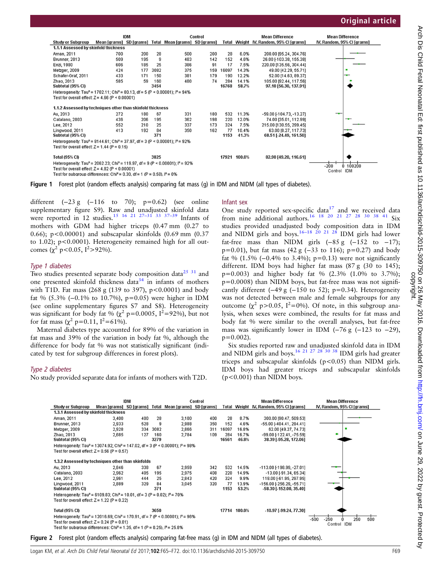<span id="page-4-0"></span>

| <b>IDM</b><br>Control                                                                                                                                                                                                                                                                                                                                                                                                                                                                                                      |     |     |      |                                                       |     |       |              | <b>Mean Difference</b>                  | <b>Mean Difference</b>                      |
|----------------------------------------------------------------------------------------------------------------------------------------------------------------------------------------------------------------------------------------------------------------------------------------------------------------------------------------------------------------------------------------------------------------------------------------------------------------------------------------------------------------------------|-----|-----|------|-------------------------------------------------------|-----|-------|--------------|-----------------------------------------|---------------------------------------------|
|                                                                                                                                                                                                                                                                                                                                                                                                                                                                                                                            |     |     |      |                                                       |     |       |              |                                         |                                             |
| <b>Study or Subgroup</b>                                                                                                                                                                                                                                                                                                                                                                                                                                                                                                   |     |     |      | Mean [grams] SD [grams] Total Mean [grams] SD [grams] |     |       |              | Total Weight IV, Random, 95% CI [grams] | IV, Random, 95% CI [grams]                  |
| 1.1.1 Assessed by skinfold thickness                                                                                                                                                                                                                                                                                                                                                                                                                                                                                       |     |     |      |                                                       |     |       |              |                                         |                                             |
| Aman, 2011                                                                                                                                                                                                                                                                                                                                                                                                                                                                                                                 | 700 | 200 | 28   | 500                                                   | 200 | 28    | 6.0%         | 200.00 [95.24, 304.76]                  |                                             |
| Brunner, 2013                                                                                                                                                                                                                                                                                                                                                                                                                                                                                                              | 509 | 195 | 9    | 483                                                   | 142 | 152   | 4.6%         | 26.00 [-103.38, 155.38]                 |                                             |
| Enzi, 1980                                                                                                                                                                                                                                                                                                                                                                                                                                                                                                                 | 606 | 185 | 25   | 386                                                   | 91  | 17    | 7.5%         | 220.00 [135.56, 304.44]                 |                                             |
| Metzger, 2009                                                                                                                                                                                                                                                                                                                                                                                                                                                                                                              | 424 | 177 | 3082 | 375                                                   | 159 | 16097 | 14.3%        | 49.00 [42.29, 55.71]                    |                                             |
| Schafer-Graf, 2011                                                                                                                                                                                                                                                                                                                                                                                                                                                                                                         | 433 | 171 | 150  | 381                                                   | 179 | 190   | 12.2%        | 52.00 [14.63, 89.37]                    |                                             |
| Zhao, 2013                                                                                                                                                                                                                                                                                                                                                                                                                                                                                                                 | 585 | 59  | 160  | 480                                                   | 74  | 284   | 14.1%        | 105.00 [92.44, 117.56]                  |                                             |
| Subtotal (95% CI)                                                                                                                                                                                                                                                                                                                                                                                                                                                                                                          |     |     | 3454 |                                                       |     | 16768 | 58.7%        | 97.10 [56.30, 137.91]                   |                                             |
| Heterogeneity: Tau <sup>2</sup> = 1702.11; Chi <sup>2</sup> = 80.13, df = 5 (P < 0.00001); $P = 94\%$                                                                                                                                                                                                                                                                                                                                                                                                                      |     |     |      |                                                       |     |       |              |                                         |                                             |
|                                                                                                                                                                                                                                                                                                                                                                                                                                                                                                                            |     |     |      |                                                       |     |       |              |                                         |                                             |
|                                                                                                                                                                                                                                                                                                                                                                                                                                                                                                                            |     |     |      |                                                       |     |       |              |                                         |                                             |
| 1.1.2 Assessed by techniques other than skinfold thickness                                                                                                                                                                                                                                                                                                                                                                                                                                                                 |     |     |      |                                                       |     |       |              |                                         |                                             |
| Au, 2013                                                                                                                                                                                                                                                                                                                                                                                                                                                                                                                   | 272 | 180 | 67   | 331                                                   | 180 | 532   | 11.3%        | -59.00 [-104.73, -13.27]                |                                             |
| Catalano, 2003                                                                                                                                                                                                                                                                                                                                                                                                                                                                                                             | 436 | 206 | 195  | 362                                                   | 198 | 220   | 12.0%        | 74.00 [35.01, 112.99]                   |                                             |
| Lee, 2012                                                                                                                                                                                                                                                                                                                                                                                                                                                                                                                  | 552 | 210 | 25   | 337                                                   | 173 | 324   | 7.5%         | 215.00 [130.55, 299.45]                 |                                             |
| Lingwood, 2011                                                                                                                                                                                                                                                                                                                                                                                                                                                                                                             | 413 | 192 | 84   | 350                                                   | 162 | 77    | 10.4%        | 63.00 [8.27, 117.73]                    |                                             |
| Subtotal (95% CI)                                                                                                                                                                                                                                                                                                                                                                                                                                                                                                          |     |     | 371  |                                                       |     | 1153  | 41.3%        | 68.51 [-24.49, 161.50]                  |                                             |
|                                                                                                                                                                                                                                                                                                                                                                                                                                                                                                                            |     |     |      |                                                       |     |       |              |                                         |                                             |
|                                                                                                                                                                                                                                                                                                                                                                                                                                                                                                                            |     |     |      |                                                       |     |       |              |                                         |                                             |
|                                                                                                                                                                                                                                                                                                                                                                                                                                                                                                                            |     |     |      |                                                       |     |       |              |                                         |                                             |
|                                                                                                                                                                                                                                                                                                                                                                                                                                                                                                                            |     |     |      |                                                       |     |       |              |                                         |                                             |
|                                                                                                                                                                                                                                                                                                                                                                                                                                                                                                                            |     |     |      |                                                       |     |       |              |                                         |                                             |
|                                                                                                                                                                                                                                                                                                                                                                                                                                                                                                                            |     |     |      |                                                       |     |       |              |                                         |                                             |
|                                                                                                                                                                                                                                                                                                                                                                                                                                                                                                                            |     |     |      |                                                       |     |       |              |                                         |                                             |
| Test for overall effect: $Z = 4.66$ (P < 0.00001)<br>Heterogeneity: Tau <sup>2</sup> = 8144.61; Chi <sup>2</sup> = 37.97, df = 3 (P < 0.00001); I <sup>2</sup> = 92%<br>Test for overall effect: $Z = 1.44$ (P = 0.15)<br><b>Total (95% CI)</b><br>Heterogeneity: Tau <sup>2</sup> = 2062.23; Chi <sup>2</sup> = 119.97, df = 9 (P < 0.00001); i <sup>2</sup> = 92%<br>Test for overall effect: $Z = 4.82$ (P < 0.00001)<br>Test for subgroup differences: Chi <sup>2</sup> = 0.30, df = 1 (P = 0.58), l <sup>2</sup> = 0% |     |     | 3825 |                                                       |     |       | 17921 100.0% | 82.90 [49.20, 116.61]                   | $-200$<br>0 100200<br><b>IDM</b><br>Control |

Figure 1 Forest plot (random effects analysis) comparing fat mass (g) in IDM and NIDM (all types of diabetes).

different  $(-23 g (-116 to 70); p=0.62)$  (see online [supplementary](http://dx.doi.org/10.1136/archdischild-2015-309750) figure S9). Raw and unadjusted skinfold data were reported in 12 studies.<sup>[15 16](#page-6-0) [21](#page-7-0) 27-[31 33 37](#page-7-0)-39</sup> Infants of mothers with GDM had higher triceps (0.47 mm (0.27 to 0.66); p<0.00001) and subscapular skinfolds (0.69 mm (0.37 to 1.02); p<0.0001). Heterogeneity remained high for all outcomes  $(\chi^2 \text{ p} < 0.05, \text{ I}^2 > 92\%).$ 

#### Type 1 diabetes

Two studies presented separate body composition data<sup>25</sup>  $31$  and one presented skinfold thickness data $34$  in infants of mothers with T1D. Fat mass  $(268 \text{ g } (139 \text{ to } 397), \text{ p} < 0.0001)$  and body fat % (5.3% (−0.1% to 10.7%), p=0.05) were higher in IDM (see online [supplementary](http://dx.doi.org/10.1136/archdischild-2015-309750) figures S7 and S8). Heterogeneity was significant for body fat % ( $\chi^2$  p=0.0005, I<sup>2</sup>=92%), but not for fat mass ( $\chi^2$  p=0.11, I<sup>2</sup>=61%).

Maternal diabetes type accounted for 89% of the variation in fat mass and 39% of the variation in body fat %, although the difference for body fat % was not statistically significant (indicated by test for subgroup differences in forest plots).

## Type 2 diabetes

No study provided separate data for infants of mothers with T2D.

#### Infant sex

One study reported sex-specific data $17$  and we received data from nine additional authors.<sup>[16](#page-6-0)</sup> <sup>18</sup> <sup>20</sup> <sup>21</sup> <sup>27</sup> <sup>28</sup> <sup>30</sup> <sup>38</sup> <sup>41</sup> Six studies provided unadjusted body composition data in IDM and NIDM girls and boys.<sup>16–[18](#page-6-0)</sup> <sup>20</sup> <sup>21</sup> <sup>28</sup> IDM girls had lower fat-free mass than NIDM girls  $(-85 \text{ g } (-152 \text{ to } -17));$ p=0.01), but fat mass (42 g (−33 to 116); p=0.27) and body fat % (1.5% ( $-0.4\%$  to 3.4%); p=0.13) were not significantly different. IDM boys had higher fat mass (87 g (30 to 145);  $p=0.003$ ) and higher body fat % (2.3% (1.0% to 3.7%); p=0.0008) than NIDM boys, but fat-free mass was not significantly different (−49 g (−150 to 52); p=0.34). Heterogeneity was not detected between male and female subgroups for any outcome ( $\chi^2$  p>0.05, I<sup>2</sup>=0%). Of note, in this subgroup analysis, when sexes were combined, the results for fat mass and body fat % were similar to the overall analyses, but fat-free mass was significantly lower in IDM (−76 g (−123 to −29),  $p=0.002$ ).

Six studies reported raw and unadjusted skinfold data in IDM and NIDM girls and boys.<sup>[16](#page-6-0) [21 27 28 30 38](#page-7-0)</sup> IDM girls had greater triceps and subscapular skinfolds ( $p$ <0.05) than NIDM girls. IDM boys had greater triceps and subscapular skinfolds (p<0.001) than NIDM boys.

|                                                                                                                                           |       | <b>IDM</b> |      |                                                       | Control |       |              | <b>Mean Difference</b>                  | <b>Mean Difference</b>     |     |
|-------------------------------------------------------------------------------------------------------------------------------------------|-------|------------|------|-------------------------------------------------------|---------|-------|--------------|-----------------------------------------|----------------------------|-----|
| <b>Study or Subgroup</b>                                                                                                                  |       |            |      | Mean [grams] SD [grams] Total Mean [grams] SD [grams] |         |       |              | Total Weight IV, Random, 95% CI [grams] | IV, Random, 95% CI [grams] |     |
| 1.3.1 Assessed by skinfold thickness                                                                                                      |       |            |      |                                                       |         |       |              |                                         |                            |     |
| Aman, 2011                                                                                                                                | 3,400 | 400        | 28   | 3,100                                                 | 400     | 28    | 8.7%         | 300.00 [90.47, 509.53]                  |                            |     |
| Brunner, 2013                                                                                                                             | 2,933 | 528        | 9    | 2,988                                                 | 350     | 152   | 4.6%         | -55.00 [-404.41, 294.41]                |                            |     |
| Metzger, 2009                                                                                                                             | 2,928 | 334        | 3082 | 2,866                                                 | 311     | 16097 | 16.8%        | 62.00 [49.27, 74.73]                    |                            |     |
| Zhao, 2013                                                                                                                                | 2,685 | 127        | 160  | 2,784                                                 | 109     | 284   | 16.7%        | -99.00 [-122.41, -75.59]                |                            |     |
| Subtotal (95% CI)                                                                                                                         |       |            | 3279 |                                                       |         | 16561 | 46.8%        | 38.39 [-95.28, 172.06]                  |                            |     |
| Heterogeneity: Tau <sup>2</sup> = 13074.92; Chi <sup>2</sup> = 147.02, df = 3 (P < 0.00001); i <sup>2</sup> = 98%                         |       |            |      |                                                       |         |       |              |                                         |                            |     |
| Test for overall effect: $Z = 0.56$ (P = 0.57)                                                                                            |       |            |      |                                                       |         |       |              |                                         |                            |     |
| 1.3.2 Assessed by techniques other than skinfolds                                                                                         |       |            |      |                                                       |         |       |              |                                         |                            |     |
| Au, 2013                                                                                                                                  | 2,846 | 338        | 67   | 2,959                                                 | 342     | 532   | 14.5%        | $-113.00$ [ $-198.99$ ], $-27.01$ ]     |                            |     |
| Catalano, 2003                                                                                                                            | 2,962 | 405        | 195  | 2,975                                                 | 408     | 220   | 14.9%        | -13.00 [-91.34, 65.34]                  |                            |     |
| Lee, 2012                                                                                                                                 | 2,961 | 444        | 25   | 2,843                                                 | 420     | 324   | 9.9%         | 118.00 [-61.95, 297.95]                 |                            |     |
| Lingwood, 2011                                                                                                                            | 2,889 | 329        | 84   | 3,045                                                 | 320     | 77    | 13.9%        | -156.00 [-256.29, -55.71]               |                            |     |
| Subtotal (95% CI)                                                                                                                         |       |            | 371  |                                                       |         | 1153  | 53.2%        | -58.30 [-152.00, 35.40]                 |                            |     |
| Heterogeneity: Tau <sup>2</sup> = 6109.83; Chi <sup>2</sup> = 10.01, df = 3 (P = 0.02); l <sup>2</sup> = 70%                              |       |            |      |                                                       |         |       |              |                                         |                            |     |
| Test for overall effect: $Z = 1.22$ (P = 0.22)                                                                                            |       |            |      |                                                       |         |       |              |                                         |                            |     |
| <b>Total (95% CI)</b>                                                                                                                     |       |            | 3650 |                                                       |         |       | 17714 100.0% | -10.97 [-99.24, 77.30]                  |                            |     |
| Heterogeneity: Tau <sup>2</sup> = 12016.69; Chi <sup>2</sup> = 170.91, df = 7 (P < 0.00001); $P = 96\%$                                   |       |            |      |                                                       |         |       |              |                                         | $-250$<br>$-500$<br>250    | 500 |
| Test for overall effect: $Z = 0.24$ (P = 0.81)<br>Test for subgroup differences: Chi <sup>2</sup> = 1.35, df = 1 (P = 0.25), $P = 25.8\%$ |       |            |      |                                                       |         |       |              |                                         | Control IDM                |     |
|                                                                                                                                           |       |            |      |                                                       |         |       |              |                                         |                            |     |

Figure 2 Forest plot (random effects analysis) comparing fat-free mass (g) in IDM and NIDM (all types of diabetes).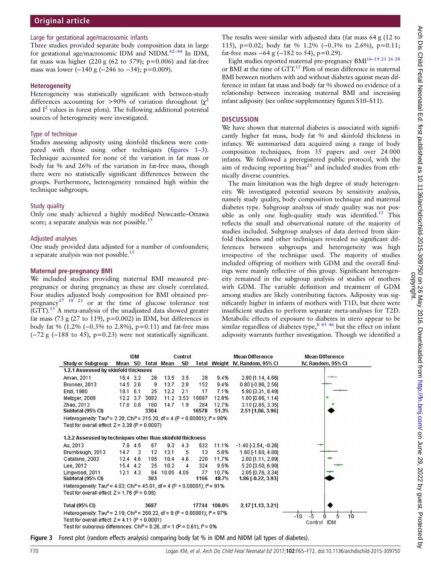#### <span id="page-5-0"></span>Large for gestational age/macrosomic infants

Three studies provided separate body composition data in large for gestational age/macrosomic IDM and NIDM.<sup>[42](#page-7-0)–44</sup> In IDM, fat mass was higher (220 g (62 to 379);  $p=0.006$ ) and fat-free mass was lower (−140 g (−246 to −34); p=0.009).

## **Heterogeneity**

Heterogeneity was statistically significant with between-study differences accounting for >90% of variation throughout ( $\chi^2$ ) and  $I<sup>2</sup>$  values in forest plots). The following additional potential sources of heterogeneity were investigated.

## Type of technique

Studies assessing adiposity using skinfold thickness were compared with those using other techniques (fi[gures 1](#page-4-0)–3). Technique accounted for none of the variation in fat mass or body fat % and 26% of the variation in fat-free mass, though there were no statistically significant differences between the groups. Furthermore, heterogeneity remained high within the technique subgroups.

#### Study quality

Only one study achieved a highly modified Newcastle–Ottawa score; a separate analysis was not possible.<sup>[15](#page-6-0)</sup>

#### Adjusted analyses

One study provided data adjusted for a number of confounders; a separate analysis was not possible.<sup>[15](#page-6-0)</sup>

#### Maternal pre-pregnancy BMI

We included studies providing maternal BMI measured prepregnancy or during pregnancy as these are closely correlated. Four studies adjusted body composition for BMI obtained prepregnancy<sup>17</sup><sup>18</sup><sup>21</sup> or at the time of glucose tolerance test  $(GTT)$ .<sup>[15](#page-6-0)</sup> A meta-analysis of the unadjusted data showed greater fat mass (73 g (27 to 119),  $p=0.002$ ) in IDM, but differences in body fat %  $(1.2\% (-0.3\% \text{ to } 2.8\%), p=0.11)$  and fat-free mass (−72 g (−188 to 45), p=0.23) were not statistically significant.

The results were similar with adjusted data (fat mass 64 g (12 to 115), p=0.02; body fat % 1.2% (−0.3% to 2.6%), p=0.11; fat-free mass  $-64$  g ( $-182$  to 54), p=0.29).

Eight studies reported maternal pre-pregnancy BMI16–[19](#page-6-0) [21 26 28](#page-7-0) or BMI at the time of GTT[.15](#page-6-0) Plots of mean difference in maternal BMI between mothers with and without diabetes against mean difference in infant fat mass and body fat % showed no evidence of a relationship between increasing maternal BMI and increasing infant adiposity (see online [supplementary](http://dx.doi.org/10.1136/archdischild-2015-309750) figures S10–S11).

## **DISCUSSION**

We have shown that maternal diabetes is associated with significantly higher fat mass, body fat % and skinfold thickness in infancy. We summarised data acquired using a range of body composition techniques, from 35 papers and over 24 000 infants. We followed a preregistered public protocol, with the aim of reducing reporting bias $23$  and included studies from ethnically diverse countries.

The main limitation was the high degree of study heterogeneity. We investigated potential sources by sensitivity analysis, namely study quality, body composition technique and maternal diabetes type. Subgroup analysis of study quality was not pos-sible as only one high-quality study was identified.<sup>[15](#page-6-0)</sup> This reflects the small and observational nature of the majority of studies included. Subgroup analyses of data derived from skinfold thickness and other techniques revealed no significant differences between subgroups and heterogeneity was high irrespective of the technique used. The majority of studies included offspring of mothers with GDM and the overall findings were mainly reflective of this group. Significant heterogeneity remained in the subgroup analysis of studies of mothers with GDM. The variable definition and treatment of GDM among studies are likely contributing factors. Adiposity was significantly higher in infants of mothers with T1D, but there were insufficient studies to perform separate meta-analyses for T2D. Metabolic effects of exposure to diabetes in utero appear to be similar regardless of diabetes type,  $8\frac{45\frac{46}{10}}{100}$  $8\frac{45\frac{46}{10}}{100}$  but the effect on infant adiposity warrants further investigation. Though we identified a

| <b>IDM</b>                                                                                         |                                                                     |                                                                                                                                                                |                                                                                                                            |            |                                                                       | <b>Mean Difference</b>                                                                                                                                                                                                                                                                                                         | <b>Mean Difference</b>          |  |  |  |
|----------------------------------------------------------------------------------------------------|---------------------------------------------------------------------|----------------------------------------------------------------------------------------------------------------------------------------------------------------|----------------------------------------------------------------------------------------------------------------------------|------------|-----------------------------------------------------------------------|--------------------------------------------------------------------------------------------------------------------------------------------------------------------------------------------------------------------------------------------------------------------------------------------------------------------------------|---------------------------------|--|--|--|
|                                                                                                    |                                                                     |                                                                                                                                                                | SD                                                                                                                         |            |                                                                       |                                                                                                                                                                                                                                                                                                                                | IV, Random, 95% CI              |  |  |  |
|                                                                                                    |                                                                     |                                                                                                                                                                |                                                                                                                            |            |                                                                       |                                                                                                                                                                                                                                                                                                                                |                                 |  |  |  |
|                                                                                                    | 28                                                                  | 13.5                                                                                                                                                           | 3.5                                                                                                                        | 28         | 9.4%                                                                  | 2.90 [1.14, 4.66]                                                                                                                                                                                                                                                                                                              |                                 |  |  |  |
|                                                                                                    | 9                                                                   | 13.7                                                                                                                                                           | 2.8                                                                                                                        | 152        | 9.4%                                                                  | $0.80$ [ $-0.96$ , $2.56$ ]                                                                                                                                                                                                                                                                                                    |                                 |  |  |  |
|                                                                                                    | 25                                                                  | 12.2                                                                                                                                                           | 2.1                                                                                                                        | 17         | 7.1%                                                                  | 5.90 [3.31, 8.49]                                                                                                                                                                                                                                                                                                              |                                 |  |  |  |
|                                                                                                    | 3082                                                                | 11.2                                                                                                                                                           | 3.53                                                                                                                       | 16097      | 12.8%                                                                 | 1.00 [0.86, 1.14]                                                                                                                                                                                                                                                                                                              |                                 |  |  |  |
|                                                                                                    | 160                                                                 | 14.7                                                                                                                                                           | 1.9                                                                                                                        | 284        | 12.7%                                                                 | 3.10 [2.85, 3.35]                                                                                                                                                                                                                                                                                                              |                                 |  |  |  |
|                                                                                                    | 3304                                                                |                                                                                                                                                                |                                                                                                                            | 16578      | 51.3%                                                                 | 2.51 [1.06, 3.96]                                                                                                                                                                                                                                                                                                              |                                 |  |  |  |
|                                                                                                    |                                                                     |                                                                                                                                                                |                                                                                                                            |            |                                                                       |                                                                                                                                                                                                                                                                                                                                |                                 |  |  |  |
|                                                                                                    |                                                                     |                                                                                                                                                                |                                                                                                                            |            |                                                                       |                                                                                                                                                                                                                                                                                                                                |                                 |  |  |  |
|                                                                                                    |                                                                     |                                                                                                                                                                |                                                                                                                            |            |                                                                       |                                                                                                                                                                                                                                                                                                                                |                                 |  |  |  |
|                                                                                                    |                                                                     |                                                                                                                                                                |                                                                                                                            |            |                                                                       |                                                                                                                                                                                                                                                                                                                                |                                 |  |  |  |
|                                                                                                    | 67                                                                  | 9.3                                                                                                                                                            | 4.3                                                                                                                        | 532        | 11.1%                                                                 | $-1.40$ $[-2.54, -0.26]$                                                                                                                                                                                                                                                                                                       |                                 |  |  |  |
|                                                                                                    | 12                                                                  | 13.1                                                                                                                                                           | 5                                                                                                                          | 13         | 5.8%                                                                  | 1.60 [-1.60, 4.80]                                                                                                                                                                                                                                                                                                             |                                 |  |  |  |
|                                                                                                    | 195                                                                 | 10.4                                                                                                                                                           | 4.6                                                                                                                        | 220        | 11.7%                                                                 | 2.00 [1.11, 2.89]                                                                                                                                                                                                                                                                                                              |                                 |  |  |  |
|                                                                                                    | 25                                                                  | 10.2                                                                                                                                                           | 4                                                                                                                          | 324        | 9.5%                                                                  | 5.20 [3.50, 6.90]                                                                                                                                                                                                                                                                                                              |                                 |  |  |  |
|                                                                                                    | 84                                                                  |                                                                                                                                                                |                                                                                                                            | 77         | 10.7%                                                                 | 2.05 [0.76, 3.34]                                                                                                                                                                                                                                                                                                              |                                 |  |  |  |
|                                                                                                    | 383                                                                 |                                                                                                                                                                |                                                                                                                            | 1166       | 48.7%                                                                 | 1.86 [-0.22, 3.93]                                                                                                                                                                                                                                                                                                             |                                 |  |  |  |
| Heterogeneity: Tau <sup>2</sup> = 4.83; Chi <sup>2</sup> = 45.01, df = 4 (P < 0.00001); $P = 91\%$ |                                                                     |                                                                                                                                                                |                                                                                                                            |            |                                                                       |                                                                                                                                                                                                                                                                                                                                |                                 |  |  |  |
|                                                                                                    |                                                                     |                                                                                                                                                                |                                                                                                                            |            |                                                                       |                                                                                                                                                                                                                                                                                                                                |                                 |  |  |  |
|                                                                                                    |                                                                     |                                                                                                                                                                |                                                                                                                            |            |                                                                       |                                                                                                                                                                                                                                                                                                                                |                                 |  |  |  |
|                                                                                                    | 3687                                                                |                                                                                                                                                                |                                                                                                                            |            |                                                                       | 2.17 [1.13, 3.21]                                                                                                                                                                                                                                                                                                              |                                 |  |  |  |
|                                                                                                    |                                                                     |                                                                                                                                                                |                                                                                                                            |            |                                                                       |                                                                                                                                                                                                                                                                                                                                | -5<br>5<br>$-10$                |  |  |  |
|                                                                                                    |                                                                     |                                                                                                                                                                |                                                                                                                            |            |                                                                       |                                                                                                                                                                                                                                                                                                                                | 10<br>Control IDM               |  |  |  |
|                                                                                                    |                                                                     |                                                                                                                                                                |                                                                                                                            |            |                                                                       |                                                                                                                                                                                                                                                                                                                                |                                 |  |  |  |
|                                                                                                    | 14.5<br>6.1<br>18.1<br>12.2<br>17.8<br>14.7<br>12.4<br>15.4<br>12.1 | 1.2.1 Assessed by skinfold thickness<br>16.4 3.2<br>2.6<br>3.7<br>0.8<br>$7.9$ 4.5<br>3<br>4.6<br>4.2<br>4.3<br>Test for overall effect: $Z = 1.76$ (P = 0.08) | Mean SD Total Mean<br>Test for overall effect: $Z = 3.39$ (P = 0.0007)<br>Test for overall effect: $Z = 4.11$ (P < 0.0001) | 10.05 4.05 | Control<br>1.2.2 Assessed by techniques other than skinfold thickness | Heterogeneity: Tau <sup>2</sup> = 2.20; Chi <sup>2</sup> = 215.20, df = 4 (P < 0.00001); l <sup>2</sup> = 98%<br>17744 100.0%<br>Heterogeneity: Tau <sup>2</sup> = 2.19; Chi <sup>2</sup> = 260.22, df = 9 (P < 0.00001); $P = 97\%$<br>Test for subgroup differences: Chi <sup>2</sup> = 0.26, df = 1 (P = 0.61), $I^2 = 0\%$ | Total Weight IV, Random, 95% CI |  |  |  |

Figure 3 Forest plot (random effects analysis) comparing body fat % in IDM and NIDM (all types of diabetes).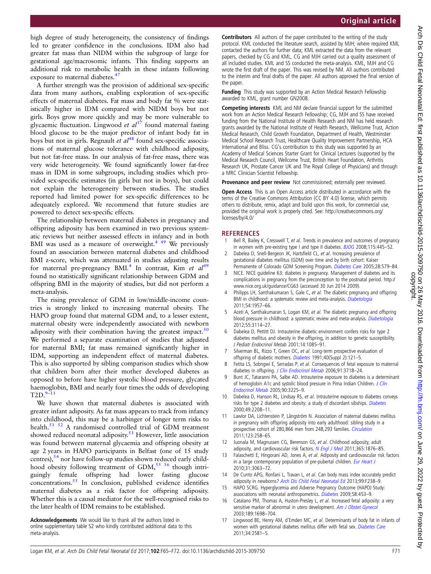<span id="page-6-0"></span>high degree of study heterogeneity, the consistency of findings led to greater confidence in the conclusions. IDM also had greater fat mass than NIDM within the subgroup of large for gestational age/macrosomic infants. This finding supports an additional risk to metabolic health in these infants following exposure to maternal diabetes.<sup>4</sup>

A further strength was the provision of additional sex-specific data from many authors, enabling exploration of sex-specific effects of maternal diabetes. Fat mass and body fat % were statistically higher in IDM compared with NIDM boys but not girls. Boys grow more quickly and may be more vulnerable to glycaemic fluctuation. Lingwood et  $al^{17}$  found maternal fasting blood glucose to be the major predictor of infant body fat in boys but not in girls. Regnault  $et$   $al^{48}$  $al^{48}$  $al^{48}$  found sex-specific associations of maternal glucose tolerance with childhood adiposity, but not fat-free mass. In our analysis of fat-free mass, there was very wide heterogeneity. We found significantly lower fat-free mass in IDM in some subgroups, including studies which provided sex-specific estimates (in girls but not in boys), but could not explain the heterogeneity between studies. The studies reported had limited power for sex-specific differences to be adequately explored. We recommend that future studies are powered to detect sex-specific effects.

The relationship between maternal diabetes in pregnancy and offspring adiposity has been examined in two previous systematic reviews but neither assessed effects in infancy and in both BMI was used as a measure of overweight.<sup>4 [49](#page-7-0)</sup> We previously found an association between maternal diabetes and childhood BMI z-score, which was attenuated in studies adjusting results for maternal pre-pregnancy BMI.<sup>4</sup> In contrast, Kim et  $al^{49}$  $al^{49}$  $al^{49}$ found no statistically significant relationship between GDM and offspring BMI in the majority of studies, but did not perform a meta-analysis.

The rising prevalence of GDM in low/middle-income countries is strongly linked to increasing maternal obesity. The HAPO group found that maternal GDM and, to a lesser extent, maternal obesity were independently associated with newborn adiposity with their combination having the greatest impact.<sup>50</sup> We performed a separate examination of studies that adjusted for maternal BMI; fat mass remained significantly higher in IDM, supporting an independent effect of maternal diabetes. This is also supported by sibling comparison studies which show that children born after their mother developed diabetes as opposed to before have higher systolic blood pressure, glycated haemoglobin, BMI and nearly four times the odds of developing  $T2D.<sup>9-1</sup>$ 

We have shown that maternal diabetes is associated with greater infant adiposity. As fat mass appears to track from infancy into childhood, this may be a harbinger of longer term risks to health. $51$   $52$  A randomised controlled trial of GDM treatment showed reduced neonatal adiposity.<sup>[53](#page-7-0)</sup> However, little association was found between maternal glycaemia and offspring obesity at age 2 years in HAPO participants in Belfast (one of 15 study centres), $5<sup>4</sup>$  nor have follow-up studies shown reduced early child-hood obesity following treatment of GDM,<sup>[55 56](#page-7-0)</sup> though intriguingly female offspring had lower fasting glucose concentrations.[55](#page-7-0) In conclusion, published evidence identifies maternal diabetes as a risk factor for offspring adiposity. Whether this is a causal mediator for the well-recognised risks to the later health of IDM remains to be established.

Acknowledgements We would like to thank all the authors listed in online [supplementary table](http://dx.doi.org/10.1136/archdischild-2015-309750) S2 who kindly contributed additional data to this meta-analysis.

Contributors All authors of the paper contributed to the writing of the study protocol. KML conducted the literature search, assisted by MJH; where required KML contacted the authors for further data; KML extracted the data from the relevant papers, checked by CG and KML, CG and MJH carried out a quality assessment of all included studies. KML and SS conducted the meta-analysis. KML, MJH and CG wrote the first draft of the paper. This was revised by NM. All authors contributed to the interim and final drafts of the paper. All authors approved the final version of the paper.

Funding This study was supported by an Action Medical Research Fellowship awarded to KML, grant number GN2008.

Competing interests KML and NM declare financial support for the submitted work from an Action Medical Research Fellowship; CG, MJH and SS have received funding from the National Institute of Health Research and NM has held research grants awarded by the National Institute of Health Research, Wellcome Trust, Action Medical Research, Child Growth Foundation, Department of Health, Westminster Medical School Research Trust, Healthcare Quality Improvement Partnership, HCA International and Bliss. CG's contribution to this study was supported by an Academy of Medical Sciences Starter Grant for Clinical Lecturers (supported by the Medical Research Council, Wellcome Trust, British Heart Foundation, Arthritis Research UK, Prostate Cancer UK and The Royal College of Physicians) and through a MRC Clinician Scientist Fellowship.

Provenance and peer review Not commissioned; externally peer reviewed.

Open Access This is an Open Access article distributed in accordance with the terms of the Creative Commons Attribution (CC BY 4.0) license, which permits others to distribute, remix, adapt and build upon this work, for commercial use, provided the original work is properly cited. See: [http://creativecommons.org/](http://creativecommons.org/licenses/by/4.0/) [licenses/by/4.0/](http://creativecommons.org/licenses/by/4.0/)

## **REFERENCES**

- Bell R, Bailey K, Cresswell T, et al. Trends in prevalence and outcomes of pregnancy in women with pre-existing type I and type II diabetes.  $B/\overline{OG}$  2008;115:445–52.
- 2 Dabelea D, Snell-Bergeon JK, Hartsfield CL, et al. Increasing prevalence of gestational diabetes mellitus (GDM) over time and by birth cohort: Kaiser Permanente of Colorado GDM Screening Program. [Diabetes Care](http://dx.doi.org/10.2337/diacare.28.3.579) 2005;28:579-84.
- 3 NICE. NICE guideline 63: diabetes in pregnancy. Management of diabetes and its complications in pregnancy from the preconception to the postnatal period. [http://](http://www.nice.org.uk/guidance/CG63) [www.nice.org.uk/guidance/CG63](http://www.nice.org.uk/guidance/CG63) (accessed 30 Jun 2014 2009).
- 4 Philipps LH, Santhakumaran S, Gale C, et al. The diabetic pregnancy and offspring BMI in childhood: a systematic review and meta-analysis. [Diabetologia](http://dx.doi.org/10.1007/s00125-011-2180-y) 2011;54:1957–66.
- Aceti A, Santhakumaran S, Logan KM, et al. The diabetic pregnancy and offspring blood pressure in childhood: a systematic review and meta-analysis. [Diabetologia](http://dx.doi.org/10.1007/s00125-012-2689-8) 2012;55:3114–27.
- 6 Dabelea D, Pettitt DJ. Intrauterine diabetic environment confers risks for type 2 diabetes mellitus and obesity in the offspring, in addition to genetic susceptibility. J Pediatr Endocrinol Metab 2001;14:1085–91.
- 7 Silverman BL, Rizzo T, Green OC, et al. Long-term prospective evaluation of offspring of diabetic mothers. [Diabetes](http://dx.doi.org/10.2337/diab.40.2.S121) 1991;40(Suppl 2):121–5.
- 8 Fetita LS, Sobngwi E, Serradas P, et al. Consequences of fetal exposure to maternal diabetes in offspring. [J Clin Endocrinol Metab](http://dx.doi.org/10.1210/jc.2006-0624) 2006;91:3718-24.
- Bunt JC, Tataranni PA, Salbe AD. Intrauterine exposure to diabetes is a determinant of hemoglobin A1c and systolic blood pressure in Pima Indian Children. [J Clin](http://dx.doi.org/10.1210/jc.2005-0007) [Endocrinol Metab](http://dx.doi.org/10.1210/jc.2005-0007) 2005;90:3225–9.
- 10 Dabelea D, Hanson RL, Lindsay RS, et al. Intrauterine exposure to diabetes conveys risks for type 2 diabetes and obesity: a study of discordant sibships. [Diabetes](http://dx.doi.org/10.2337/diabetes.49.12.2208) 2000;49:2208–11.
- 11 Lawlor DA, Lichtenstein P, Långström N. Association of maternal diabetes mellitus in pregnancy with offspring adiposity into early adulthood: sibling study in a prospective cohort of 280,866 men from 248,293 families. [Circulation](http://dx.doi.org/10.1161/CIRCULATIONAHA.110.980169) 2011;123:258–65.
- 12 Juonala M, Magnussen CG, Berenson GS, et al. Childhood adiposity, adult adiposity, and cardiovascular risk factors. [N Engl J Med](http://dx.doi.org/10.1056/NEJMoa1010112) 2011;365:1876-85.
- 13 Falaschetti E, Hingorani AD, Jones A, et al. Adiposity and cardiovascular risk factors in a large contemporary population of pre-pubertal children. [Eur Heart J](http://dx.doi.org/10.1093/eurheartj/ehq355) 2010;31:3063–72.
- 14 De Cunto APG, Ronfani L, Travan L, et al. Can body mass index accurately predict adiposity in newborns? [Arch Dis Child Fetal Neonatal Ed](http://dx.doi.org/10.1136/archdischild-2013-305386) 2013;99:F238-9.
- 15 HAPO SCRG. Hyperglycemia and Adverse Pregnancy Outcome (HAPO) Study: associations with neonatal anthropometrics. [Diabetes](http://dx.doi.org/10.2337/db08-1112) 2009;58:453-9.
- 16 Catalano PM, Thomas A, Huston-Presley L, et al. Increased fetal adiposity: a very sensitive marker of abnormal in utero development. [Am J Obstet Gynecol](http://dx.doi.org/10.1016/S0002-9378(03)00828-7) 2003;189:1698–704.
- 17 Lingwood BE, Henry AM, d'Emden MC, et al. Determinants of body fat in infants of women with gestational diabetes mellitus differ with fetal sex. [Diabetes Care](http://dx.doi.org/10.2337/dc11-0728) 2011;34:2581–5.